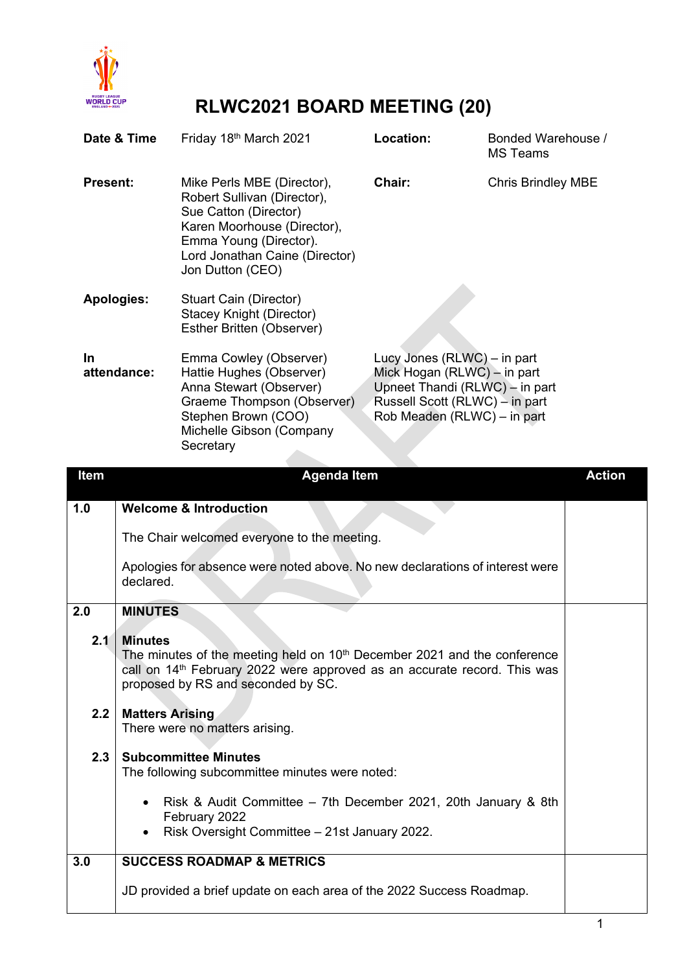

## **RLWC2021 BOARD MEETING (20)**

| Date & Time        | Friday 18th March 2021                                                                                                                                                                            | Location:                                                                                                                                                     | Bonded Warehouse /<br><b>MS</b> Teams |
|--------------------|---------------------------------------------------------------------------------------------------------------------------------------------------------------------------------------------------|---------------------------------------------------------------------------------------------------------------------------------------------------------------|---------------------------------------|
| <b>Present:</b>    | Mike Perls MBE (Director),<br>Robert Sullivan (Director),<br>Sue Catton (Director)<br>Karen Moorhouse (Director),<br>Emma Young (Director).<br>Lord Jonathan Caine (Director)<br>Jon Dutton (CEO) | Chair:                                                                                                                                                        | <b>Chris Brindley MBE</b>             |
| <b>Apologies:</b>  | Stuart Cain (Director)<br><b>Stacey Knight (Director)</b><br>Esther Britten (Observer)                                                                                                            |                                                                                                                                                               |                                       |
| In.<br>attendance: | Emma Cowley (Observer)<br>Hattie Hughes (Observer)<br>Anna Stewart (Observer)<br>Graeme Thompson (Observer)<br>Stephen Brown (COO)<br>Michelle Gibson (Company<br>Secretary                       | Lucy Jones (RLWC) – in part<br>Mick Hogan (RLWC) – in part<br>Upneet Thandi (RLWC) - in part<br>Russell Scott (RLWC) – in part<br>Rob Meaden (RLWC) - in part |                                       |

| <b>Item</b> | <b>Agenda Item</b>                                                                                                                                                                                                         | <b>Action</b> |
|-------------|----------------------------------------------------------------------------------------------------------------------------------------------------------------------------------------------------------------------------|---------------|
| 1.0         | <b>Welcome &amp; Introduction</b>                                                                                                                                                                                          |               |
|             | The Chair welcomed everyone to the meeting.                                                                                                                                                                                |               |
|             | Apologies for absence were noted above. No new declarations of interest were<br>declared.                                                                                                                                  |               |
| 2.0         | <b>MINUTES</b>                                                                                                                                                                                                             |               |
| 2.1         | <b>Minutes</b><br>The minutes of the meeting held on $10th$ December 2021 and the conference<br>call on 14 <sup>th</sup> February 2022 were approved as an accurate record. This was<br>proposed by RS and seconded by SC. |               |
| 2.2         | <b>Matters Arising</b><br>There were no matters arising.                                                                                                                                                                   |               |
| 2.3         | <b>Subcommittee Minutes</b><br>The following subcommittee minutes were noted:                                                                                                                                              |               |
|             | Risk & Audit Committee - 7th December 2021, 20th January & 8th<br>February 2022<br>Risk Oversight Committee - 21st January 2022.                                                                                           |               |
| 3.0         | <b>SUCCESS ROADMAP &amp; METRICS</b>                                                                                                                                                                                       |               |
|             | JD provided a brief update on each area of the 2022 Success Roadmap.                                                                                                                                                       |               |